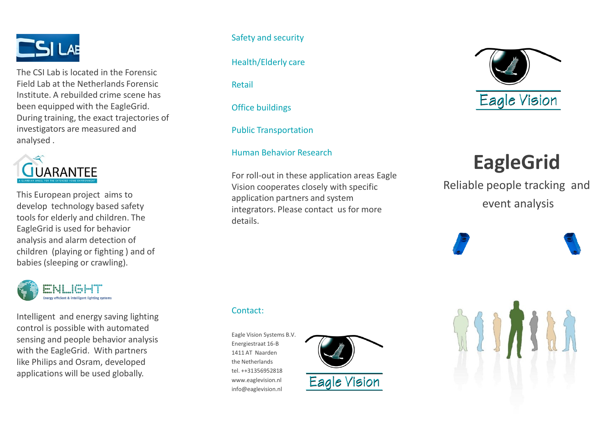

The CSI Lab is located in the Forensic Field Lab at the Netherlands Forensic Institute. A rebuilded crime scene has been equipped with the EagleGrid. During training, the exact trajectories of investigators are measured and analysed .



This European project aims to develop technology based safety tools for elderly and children. The EagleGrid is used for behavior analysis and alarm detection of children (playing or fighting ) and of babies (sleeping or crawling).



Intelligent and energy saving lighting control is possible with automated sensing and people behavior analysis with the EagleGrid. With partners like Philips and Osram, developed applications will be used globally.

Safety and security

Health/Elderly care

Retail

Office buildings

Public Transportation

Human Behavior Research

For roll-out in these application areas Eagle Vision cooperates closely with specific application partners and system integrators. Please contact us for more details.

Contact:

Eagle Vision Systems B.V. Energiestraat 16-B 1411 AT Naarden the Netherlands tel. ++31356952818 www.eaglevision.nl info@eaglevision.nl





# **EagleGrid**

Reliable people tracking and event analysis